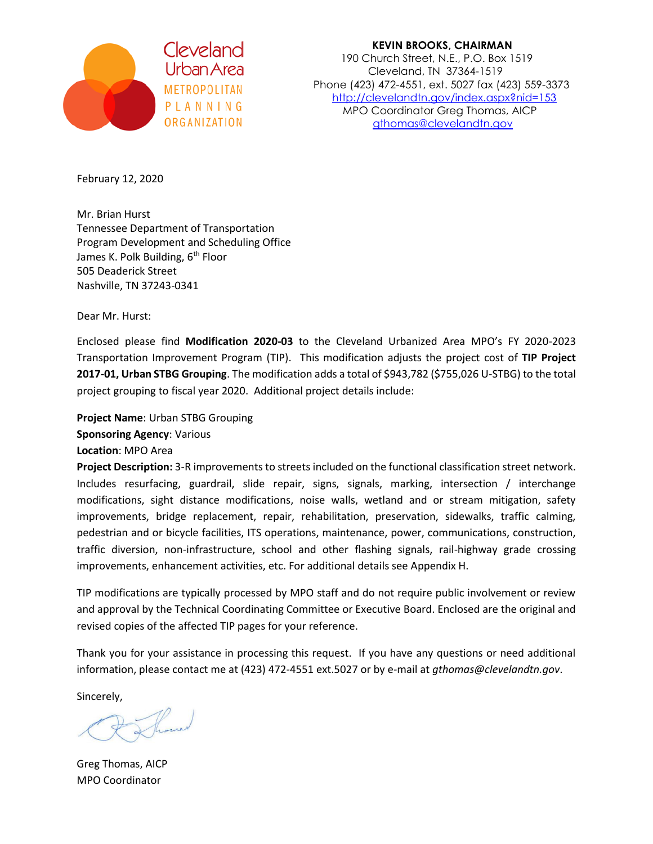

 **KEVIN BROOKS, CHAIRMAN** Cleveland<br>190 Church Street, N.E., P.O. Box 1519<br>190 Cleveland, IN 37364-1519 Cleveland, TN 37364-1519 Phone (423) 472-4551, ext. 5027 fax (423) 559-3373 methologitim<br>PLANNING MPO Coordinator Crog Thomas AICB P L A N N I N G<br>
MPO Coordinator Greg Thomas, AICP<br>
othomas@clevelandtn.aov [gthomas@clevelandtn.gov](mailto:gthomas@clevelandtn.gov)

February 12, 2020

Mr. Brian Hurst Tennessee Department of Transportation Program Development and Scheduling Office James K. Polk Building, 6<sup>th</sup> Floor 505 Deaderick Street Nashville, TN 37243-0341

Dear Mr. Hurst:

Enclosed please find **Modification 2020-03** to the Cleveland Urbanized Area MPO's FY 2020-2023 Transportation Improvement Program (TIP). This modification adjusts the project cost of **TIP Project 2017-01, Urban STBG Grouping**. The modification adds a total of \$943,782 (\$755,026 U-STBG) to the total project grouping to fiscal year 2020. Additional project details include:

**Project Name**: Urban STBG Grouping **Sponsoring Agency**: Various

**Location**: MPO Area

**Project Description:** 3-R improvements to streets included on the functional classification street network. Includes resurfacing, guardrail, slide repair, signs, signals, marking, intersection / interchange modifications, sight distance modifications, noise walls, wetland and or stream mitigation, safety improvements, bridge replacement, repair, rehabilitation, preservation, sidewalks, traffic calming, pedestrian and or bicycle facilities, ITS operations, maintenance, power, communications, construction, traffic diversion, non-infrastructure, school and other flashing signals, rail-highway grade crossing improvements, enhancement activities, etc. For additional details see Appendix H.

TIP modifications are typically processed by MPO staff and do not require public involvement or review and approval by the Technical Coordinating Committee or Executive Board. Enclosed are the original and revised copies of the affected TIP pages for your reference.

Thank you for your assistance in processing this request. If you have any questions or need additional information, please contact me at (423) 472-4551 ext.5027 or by e-mail at *gthomas@clevelandtn.gov*.

Sincerely,

Greg Thomas, AICP MPO Coordinator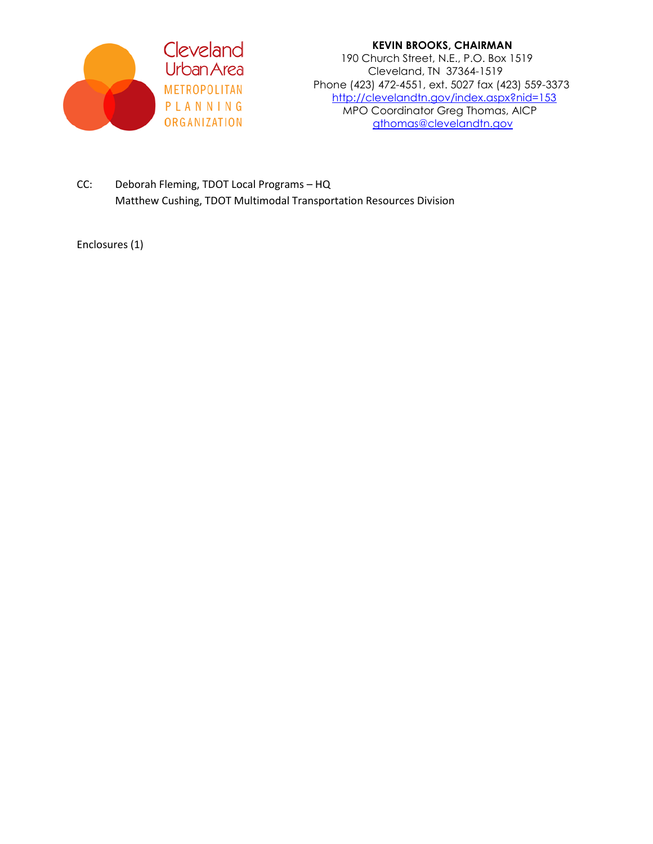

 **KEVIN BROOKS, CHAIRMAN** Cleveland<br>Urban Area 190 Church Street, N.E., P.O. Box 1519<br>Cleveland, TN 37364-1519 Cleveland, TN 37364-1519 Phone (423) 472-4551, ext. 5027 fax (423) 559-3373 methological <http://clevelandtn.gov/index.aspx?nid=153><br>P L A N N I N G MPO Coordinator Grea Thomas, AICP PLANNING<br>
MPO Coordinator Greg Thomas, AICP<br>
organization athomas@clevelandtn.gov [gthomas@clevelandtn.gov](mailto:gthomas@clevelandtn.gov)

CC: Deborah Fleming, TDOT Local Programs – HQ Matthew Cushing, TDOT Multimodal Transportation Resources Division

Enclosures (1)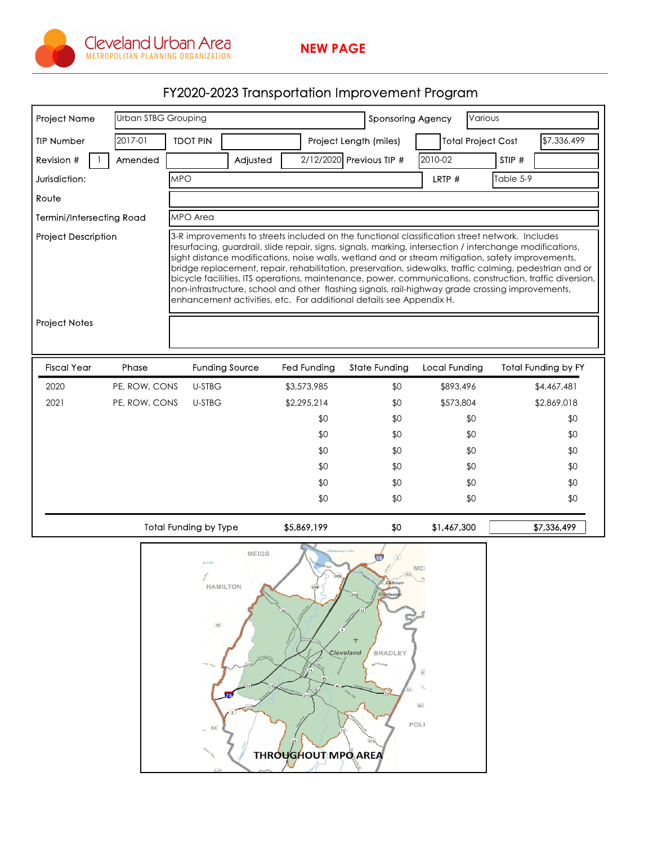

## FY2020-2023 Transportation Improvement Program

| <b>Project Name</b>              | Urban STBG Grouping |                                                                                                                                                                                                                                                                                     | Various<br><b>Sponsoring Agency</b> |                          |                           |                            |             |  |
|----------------------------------|---------------------|-------------------------------------------------------------------------------------------------------------------------------------------------------------------------------------------------------------------------------------------------------------------------------------|-------------------------------------|--------------------------|---------------------------|----------------------------|-------------|--|
| <b>TIP Number</b>                | 2017-01             | <b>TDOT PIN</b>                                                                                                                                                                                                                                                                     |                                     | Project Length (miles)   | <b>Total Project Cost</b> |                            | \$7,336,499 |  |
| Revision #                       | Amended             | Adjusted                                                                                                                                                                                                                                                                            |                                     | 2/12/2020 Previous TIP # | 2010-02                   | STIP #                     |             |  |
| Jurisdiction:                    |                     | <b>MPO</b>                                                                                                                                                                                                                                                                          |                                     |                          | LRTP #                    | Table 5-9                  |             |  |
| Route                            |                     |                                                                                                                                                                                                                                                                                     |                                     |                          |                           |                            |             |  |
| <b>Termini/Intersecting Road</b> |                     | MPO Area                                                                                                                                                                                                                                                                            |                                     |                          |                           |                            |             |  |
|                                  |                     | bridge replacement, repair, rehabilitation, preservation, sidewalks, traffic calming, pedestrian and or                                                                                                                                                                             |                                     |                          |                           |                            |             |  |
| <b>Project Notes</b>             |                     | bicycle facilities, ITS operations, maintenance, power, communications, construction, traffic diversion,<br>non-infrastructure, school and other flashing signals, rail-highway grade crossing improvements,<br>enhancement activities, etc. For additional details see Appendix H. |                                     |                          |                           |                            |             |  |
| <b>Fiscal Year</b>               | Phase               | <b>Funding Source</b>                                                                                                                                                                                                                                                               | <b>Fed Funding</b>                  | <b>State Funding</b>     | <b>Local Funding</b>      | <b>Total Funding by FY</b> |             |  |
| 2020                             | PE, ROW, CONS       | <b>U-STBG</b>                                                                                                                                                                                                                                                                       | \$3,573,985                         | \$0                      | \$893,496                 |                            | \$4,467,481 |  |
| 2021                             | PE, ROW, CONS       | U-STBG                                                                                                                                                                                                                                                                              | \$2,295,214                         | \$0                      | \$573,804                 |                            | \$2,869,018 |  |
|                                  |                     |                                                                                                                                                                                                                                                                                     | \$0                                 | \$0                      | \$0                       |                            | \$0         |  |
|                                  |                     |                                                                                                                                                                                                                                                                                     | \$0                                 | \$0                      | \$0                       |                            | \$0         |  |
|                                  |                     |                                                                                                                                                                                                                                                                                     | \$0                                 | \$0                      | \$0                       |                            | \$0         |  |
|                                  |                     |                                                                                                                                                                                                                                                                                     | \$0                                 | \$0                      | \$0                       |                            | \$0         |  |
|                                  |                     |                                                                                                                                                                                                                                                                                     | \$0                                 | \$0                      | \$0                       |                            | \$0         |  |
|                                  |                     |                                                                                                                                                                                                                                                                                     | \$0                                 | \$0                      | \$0                       |                            | \$0         |  |